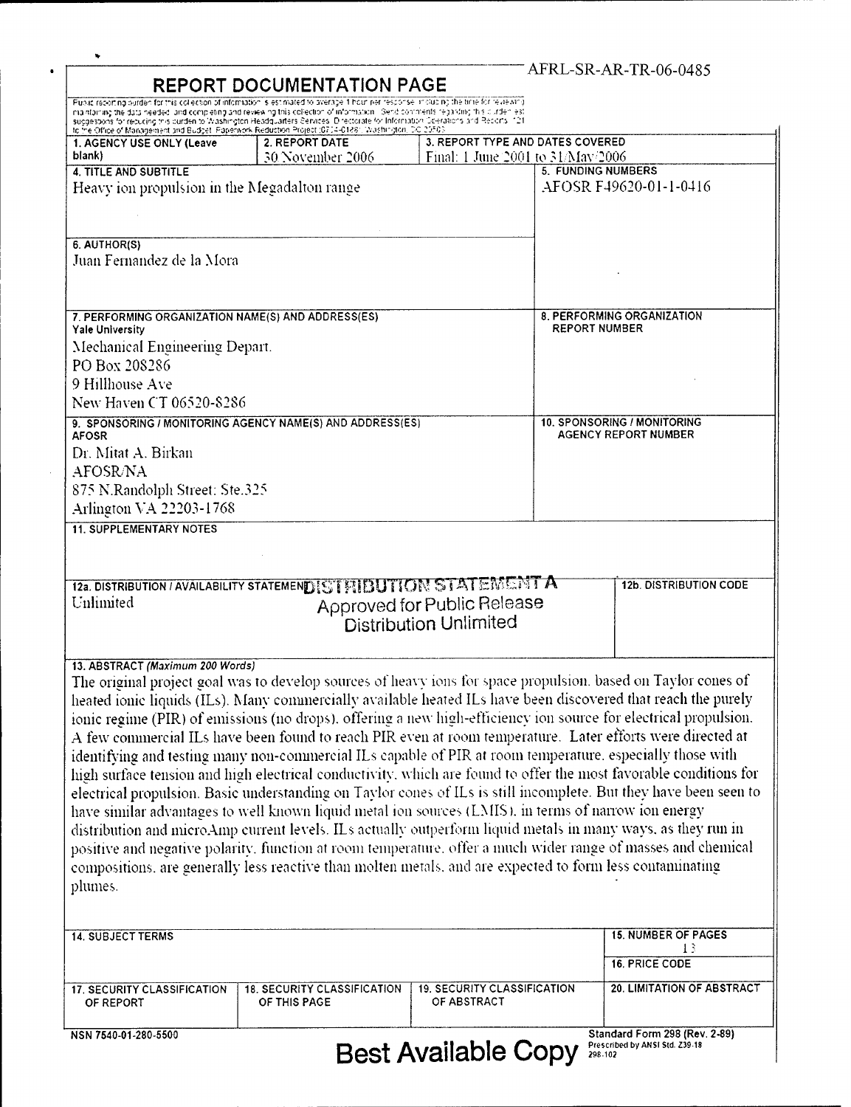| <b>REPORT DOCUMENTATION PAGE</b>                                             | AFRL-SR-AR-TR-06-0485                                                                                                                                                                                                                                                                                                                                                                                                                                                                                                                                                                                                                                                                                                                                                                                                                                                                                                                                                                                                                                                                                                                                                                                                                                                         |                                                                       |  |                                                                                  |
|------------------------------------------------------------------------------|-------------------------------------------------------------------------------------------------------------------------------------------------------------------------------------------------------------------------------------------------------------------------------------------------------------------------------------------------------------------------------------------------------------------------------------------------------------------------------------------------------------------------------------------------------------------------------------------------------------------------------------------------------------------------------------------------------------------------------------------------------------------------------------------------------------------------------------------------------------------------------------------------------------------------------------------------------------------------------------------------------------------------------------------------------------------------------------------------------------------------------------------------------------------------------------------------------------------------------------------------------------------------------|-----------------------------------------------------------------------|--|----------------------------------------------------------------------------------|
|                                                                              | Public recorting burden for this collection of information is estimated to average if hour ner response in clubing the time for reviewing<br>maintaining the data needed, and completing and reviewing this collection of information. Send comments regarding this curden est                                                                                                                                                                                                                                                                                                                                                                                                                                                                                                                                                                                                                                                                                                                                                                                                                                                                                                                                                                                                |                                                                       |  |                                                                                  |
|                                                                              | suggestions for detucing this burden to Washington Headquarters Services. Directorate for Information Scenations and Recorts (12).<br>To the Office of Management and Budget, Paperwork Reduction Project (0704-0188). Washington                                                                                                                                                                                                                                                                                                                                                                                                                                                                                                                                                                                                                                                                                                                                                                                                                                                                                                                                                                                                                                             |                                                                       |  |                                                                                  |
| 1. AGENCY USE ONLY (Leave<br>blank)                                          | 2. REPORT DATE<br>30 November 2006                                                                                                                                                                                                                                                                                                                                                                                                                                                                                                                                                                                                                                                                                                                                                                                                                                                                                                                                                                                                                                                                                                                                                                                                                                            | 3. REPORT TYPE AND DATES COVERED<br>Final: 1 June 2001 to 31/May/2006 |  |                                                                                  |
| 4. TITLE AND SUBTITLE                                                        |                                                                                                                                                                                                                                                                                                                                                                                                                                                                                                                                                                                                                                                                                                                                                                                                                                                                                                                                                                                                                                                                                                                                                                                                                                                                               |                                                                       |  | <b>5. FUNDING NUMBERS</b>                                                        |
| Heavy ion propulsion in the Megadalton range                                 |                                                                                                                                                                                                                                                                                                                                                                                                                                                                                                                                                                                                                                                                                                                                                                                                                                                                                                                                                                                                                                                                                                                                                                                                                                                                               |                                                                       |  | AFOSR F49620-01-1-0416                                                           |
|                                                                              |                                                                                                                                                                                                                                                                                                                                                                                                                                                                                                                                                                                                                                                                                                                                                                                                                                                                                                                                                                                                                                                                                                                                                                                                                                                                               |                                                                       |  |                                                                                  |
|                                                                              |                                                                                                                                                                                                                                                                                                                                                                                                                                                                                                                                                                                                                                                                                                                                                                                                                                                                                                                                                                                                                                                                                                                                                                                                                                                                               |                                                                       |  |                                                                                  |
| 6. AUTHOR(S)<br>Juan Fernandez de la Mora                                    |                                                                                                                                                                                                                                                                                                                                                                                                                                                                                                                                                                                                                                                                                                                                                                                                                                                                                                                                                                                                                                                                                                                                                                                                                                                                               |                                                                       |  |                                                                                  |
|                                                                              |                                                                                                                                                                                                                                                                                                                                                                                                                                                                                                                                                                                                                                                                                                                                                                                                                                                                                                                                                                                                                                                                                                                                                                                                                                                                               |                                                                       |  |                                                                                  |
|                                                                              |                                                                                                                                                                                                                                                                                                                                                                                                                                                                                                                                                                                                                                                                                                                                                                                                                                                                                                                                                                                                                                                                                                                                                                                                                                                                               |                                                                       |  |                                                                                  |
| 7. PERFORMING ORGANIZATION NAME(S) AND ADDRESS(ES)<br><b>Yale University</b> |                                                                                                                                                                                                                                                                                                                                                                                                                                                                                                                                                                                                                                                                                                                                                                                                                                                                                                                                                                                                                                                                                                                                                                                                                                                                               |                                                                       |  | 8. PERFORMING ORGANIZATION<br><b>REPORT NUMBER</b>                               |
| Mechanical Engineering Depart.                                               |                                                                                                                                                                                                                                                                                                                                                                                                                                                                                                                                                                                                                                                                                                                                                                                                                                                                                                                                                                                                                                                                                                                                                                                                                                                                               |                                                                       |  |                                                                                  |
| PO Box 208286                                                                |                                                                                                                                                                                                                                                                                                                                                                                                                                                                                                                                                                                                                                                                                                                                                                                                                                                                                                                                                                                                                                                                                                                                                                                                                                                                               |                                                                       |  |                                                                                  |
| 9 Hillhouse Ave                                                              |                                                                                                                                                                                                                                                                                                                                                                                                                                                                                                                                                                                                                                                                                                                                                                                                                                                                                                                                                                                                                                                                                                                                                                                                                                                                               |                                                                       |  |                                                                                  |
| New Haven CT 06520-8286                                                      |                                                                                                                                                                                                                                                                                                                                                                                                                                                                                                                                                                                                                                                                                                                                                                                                                                                                                                                                                                                                                                                                                                                                                                                                                                                                               |                                                                       |  |                                                                                  |
|                                                                              | 9. SPONSORING / MONITORING AGENCY NAME(S) AND ADDRESS(ES)                                                                                                                                                                                                                                                                                                                                                                                                                                                                                                                                                                                                                                                                                                                                                                                                                                                                                                                                                                                                                                                                                                                                                                                                                     |                                                                       |  | 10. SPONSORING / MONITORING<br><b>AGENCY REPORT NUMBER</b>                       |
| <b>AFOSR</b><br>Dr. Mitat A. Birkan                                          |                                                                                                                                                                                                                                                                                                                                                                                                                                                                                                                                                                                                                                                                                                                                                                                                                                                                                                                                                                                                                                                                                                                                                                                                                                                                               |                                                                       |  |                                                                                  |
| <b>AFOSR/NA</b>                                                              |                                                                                                                                                                                                                                                                                                                                                                                                                                                                                                                                                                                                                                                                                                                                                                                                                                                                                                                                                                                                                                                                                                                                                                                                                                                                               |                                                                       |  |                                                                                  |
|                                                                              |                                                                                                                                                                                                                                                                                                                                                                                                                                                                                                                                                                                                                                                                                                                                                                                                                                                                                                                                                                                                                                                                                                                                                                                                                                                                               |                                                                       |  |                                                                                  |
|                                                                              |                                                                                                                                                                                                                                                                                                                                                                                                                                                                                                                                                                                                                                                                                                                                                                                                                                                                                                                                                                                                                                                                                                                                                                                                                                                                               |                                                                       |  |                                                                                  |
| 875 N.Randolph Street: Ste.325<br>Arlington VA 22203-1768                    |                                                                                                                                                                                                                                                                                                                                                                                                                                                                                                                                                                                                                                                                                                                                                                                                                                                                                                                                                                                                                                                                                                                                                                                                                                                                               |                                                                       |  |                                                                                  |
| <b>11. SUPPLEMENTARY NOTES</b>                                               | 12a. DISTRIBUTION / AVAILABILITY STATEMENDIST FIIBUTION STATEMENT A                                                                                                                                                                                                                                                                                                                                                                                                                                                                                                                                                                                                                                                                                                                                                                                                                                                                                                                                                                                                                                                                                                                                                                                                           |                                                                       |  | <b>12b. DISTRIBUTION CODE</b>                                                    |
| Unlimited                                                                    |                                                                                                                                                                                                                                                                                                                                                                                                                                                                                                                                                                                                                                                                                                                                                                                                                                                                                                                                                                                                                                                                                                                                                                                                                                                                               | Approved for Public Release<br><b>Distribution Unlimited</b>          |  |                                                                                  |
| 13. ABSTRACT (Maximum 200 Words)<br>plumes.                                  | The original project goal was to develop sources of heavy ions for space propulsion, based on Taylor cones of<br>heated ionic liquids (ILs). Many commercially available heated ILs have been discovered that reach the purely<br>ionic regime (PIR) of emissions (no drops), offering a new high-efficiency ion source for electrical propulsion.<br>A few commercial ILs have been found to reach PIR even at room temperature. Later efforts were directed at<br>identifying and testing many non-commercial ILs capable of PIR at room temperature, especially those with<br>high surface tension and high electrical conductivity, which are found to offer the most favorable conditions for<br>electrical propulsion. Basic understanding on Taylor cones of ILs is still incomplete. But they have been seen to<br>have similar advantages to well known liquid metal ion sources (LMIS), in terms of narrow ion energy<br>distribution and microAmp current levels. ILs actually outperform liquid metals in many ways, as they run in<br>positive and negative polarity, function at room temperature, offer a much wider range of masses and chemical<br>compositions, are generally less reactive than molten metals, and are expected to form less contaminating |                                                                       |  |                                                                                  |
| <b>14. SUBJECT TERMS</b><br><b>17. SECURITY CLASSIFICATION</b>               | <b>18. SECURITY CLASSIFICATION</b>                                                                                                                                                                                                                                                                                                                                                                                                                                                                                                                                                                                                                                                                                                                                                                                                                                                                                                                                                                                                                                                                                                                                                                                                                                            | <b>19. SECURITY CLASSIFICATION</b>                                    |  | <b>15. NUMBER OF PAGES</b><br>13<br>16. PRICE CODE<br>20. LIMITATION OF ABSTRACT |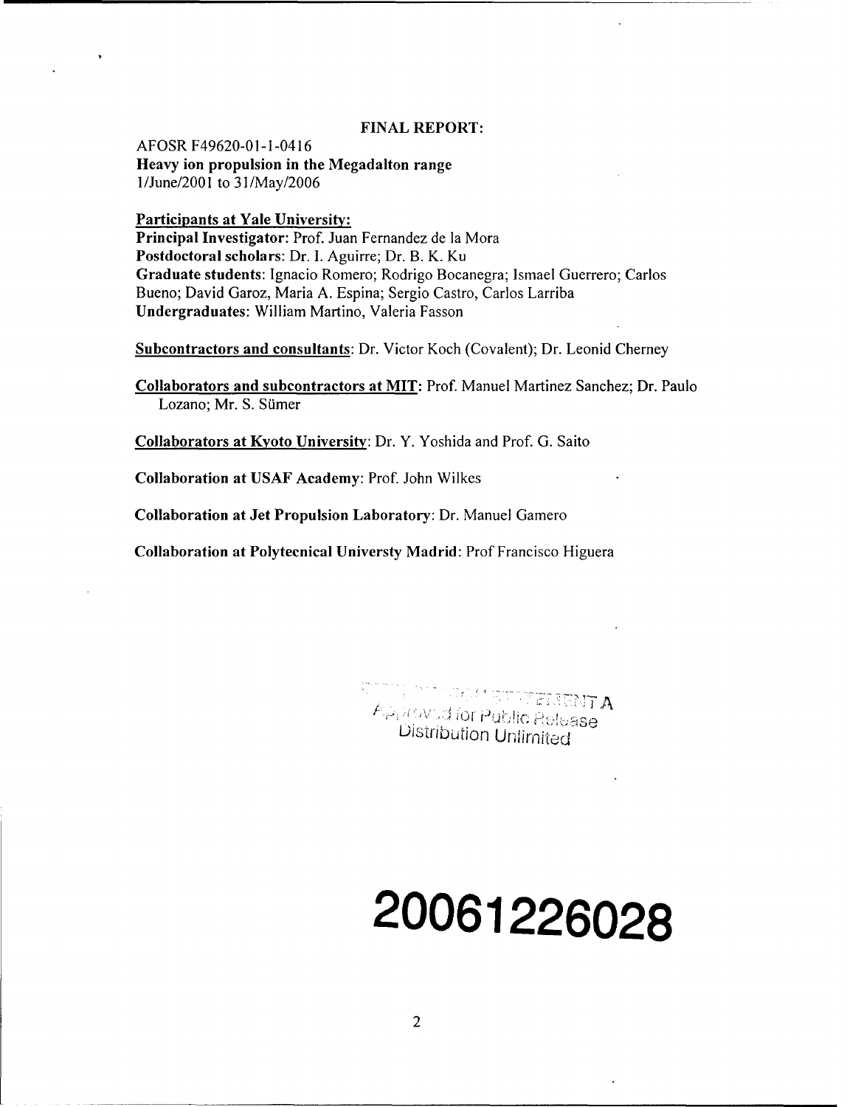## **FINAL** REPORT:

AFOSR F49620-01-1-0416 Heavy ion propulsion in the Megadalton range I/June/2001 to 3 I/May/2006

Participants at Yale University:

Principal Investigator: Prof. Juan Fernandez de la Mora Postdoctoral scholars: Dr. I. Aguirre; Dr. B. K. Ku Graduate students: Ignacio Romero; Rodrigo Bocanegra; Ismael Guerrero; Carlos Bueno; David Garoz, Maria A. Espina; Sergio Castro, Carlos Larriba Undergraduates: William Martino, Valeria Fasson

Subcontractors and consultants: Dr. Victor Koch (Covalent); Dr. Leonid Cherney

Collaborators and subcontractors at MIT: Prof. Manuel Martinez Sanchez; Dr. Paulo Lozano; Mr. S. Sümer

Collaborators at Kyoto University: Dr. Y. Yoshida and Prof. G. Saito

Collaboration at USAF Academy: Prof. John Wilkes

Collaboration at Jet Propulsion Laboratory: Dr. Manuel Gamero

Collaboration at Polyteenical Universty Madrid: Prof Francisco Higuera

.......................... '.•+:•...... -'1c,'a  $A_{\varphi_1}$ novud for Public Refease<br>Distribution Unlimited

# **20061226028**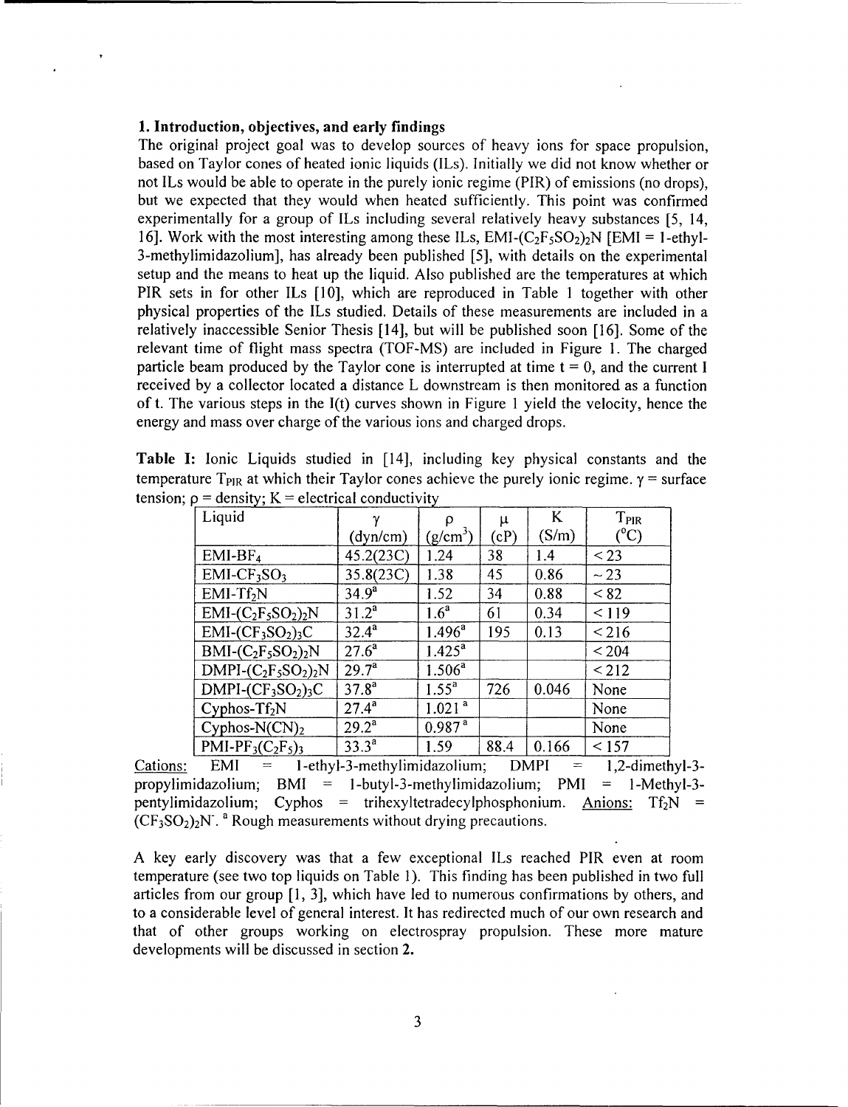# **1.** Introduction, objectives, and early findings

The original project goal was to develop sources of heavy ions for space propulsion, based on Taylor cones of heated ionic liquids (ILs). Initially we did not know whether or not ILs would be able to operate in the purely ionic regime (PIR) of emissions (no drops), but we expected that they would when heated sufficiently. This point was confirmed experimentally for a group of ILs including several relatively heavy substances [5, 14, 16]. Work with the most interesting among these ILs,  $EMI-(C_2F_5SO_2)$ . [EMI = 1-ethyl-3-methylimidazolium], has already been published [5], with details on the experimental setup and the means to heat up the liquid. Also published are the temperatures at which PIR sets in for other ILs [10], which are reproduced in Table **I** together with other physical properties of the ILs studied. Details of these measurements are included in a relatively inaccessible Senior Thesis [14], but will be published soon [16]. Some of the relevant time of flight mass spectra (TOF-MS) are included in Figure 1. The charged particle beam produced by the Taylor cone is interrupted at time  $t = 0$ , and the current I received by a collector located a distance L downstream is then monitored as a function of t. The various steps in the I(t) curves shown in Figure 1 yield the velocity, hence the energy and mass over charge of the various ions and charged drops.

|  |                                                        |  |  |  | Table I: Ionic Liquids studied in [14], including key physical constants and the                             |  |
|--|--------------------------------------------------------|--|--|--|--------------------------------------------------------------------------------------------------------------|--|
|  |                                                        |  |  |  | temperature T <sub>PIR</sub> at which their Taylor cones achieve the purely ionic regime. $\gamma$ = surface |  |
|  | tension; $\rho$ = density; K = electrical conductivity |  |  |  |                                                                                                              |  |

| Liquid                                      |                | ρ                  | $\mu$ | K     | T <sub>PIR</sub> |
|---------------------------------------------|----------------|--------------------|-------|-------|------------------|
|                                             | (dyn/cm)       | $(g/cm^3)$         | (cP)  | (S/m) | $\rm ^{o}C)$     |
| $EMI-BF4$                                   | 45.2(23C)      | 1.24               | 38    | 1.4   | $<$ 23           |
| $EMI-CF3SO3$                                | 35.8(23C)      | 1.38               | 45    | 0.86  | $\sim$ 23        |
| $EMI-Tf2N$                                  | $34.9^{a}$     | 1.52               | 34    | 0.88  | < 82             |
| $EMI$ - $(C_2F_5SO_2)_2N$                   | $31.2^a$       | 1.6 <sup>a</sup>   | 61    | 0.34  | 119              |
| $EMI$ - $CF_3SO_2$ <sub>3</sub> C           | $32.4^{a}$     | $1.496^{\circ}$    | 195   | 0.13  | ${}_{<}216$      |
| $BMI-C_2F_5SO_2)_2N$                        | $27.6^a$       | $1.425^{\circ}$    |       |       | ${}_{<}$ 204     |
| $DMPI-(C_2F_5SO_2)_2N$                      | $29.7^{\circ}$ | $1.506^a$          |       |       | < 212            |
| $DMPI$ - $CF_3SO_2$ <sub>3</sub> C          | $37.8^{a}$     | $1.55^{a}$         | 726   | 0.046 | None             |
| Cyphos- $Tf_2N$                             | $27.4^{a}$     | 1.021 <sup>a</sup> |       |       | None             |
| Cyphos-N $(CN)_2$                           | $29.2^a$       | 0.987 <sup>a</sup> |       |       | None             |
| PMI-PF <sub>3</sub> $(C_2F_5)$ <sub>3</sub> | $33.3^{a}$     | 1.59               | 88.4  | 0.166 | < 157            |

Cations: EMI = 1-ethyl-3-methylimidazolium; DMPI = 1,2-dimethyl-3propylimidazolium; BMI = -butyl-3-methylimidazolium; PMI **=** 1-Methyl-3 pentylimidazolium; Cyphos = trihexyltetradecylphosphonium. Anions:  $Tf_2N$  =  $(CF<sub>3</sub>SO<sub>2</sub>)<sub>2</sub>N$ <sup>2</sup>. Rough measurements without drying precautions.

A key early discovery was that a few exceptional ILs reached PIR even at room temperature (see two top liquids on Table 1). This finding has been published in two full articles from our group [1, 3], which have led to numerous confirmations by others, and to a considerable level of general interest. It has redirected much of our own research and that of other groups working on electrospray propulsion. These more mature developments will be discussed in section 2.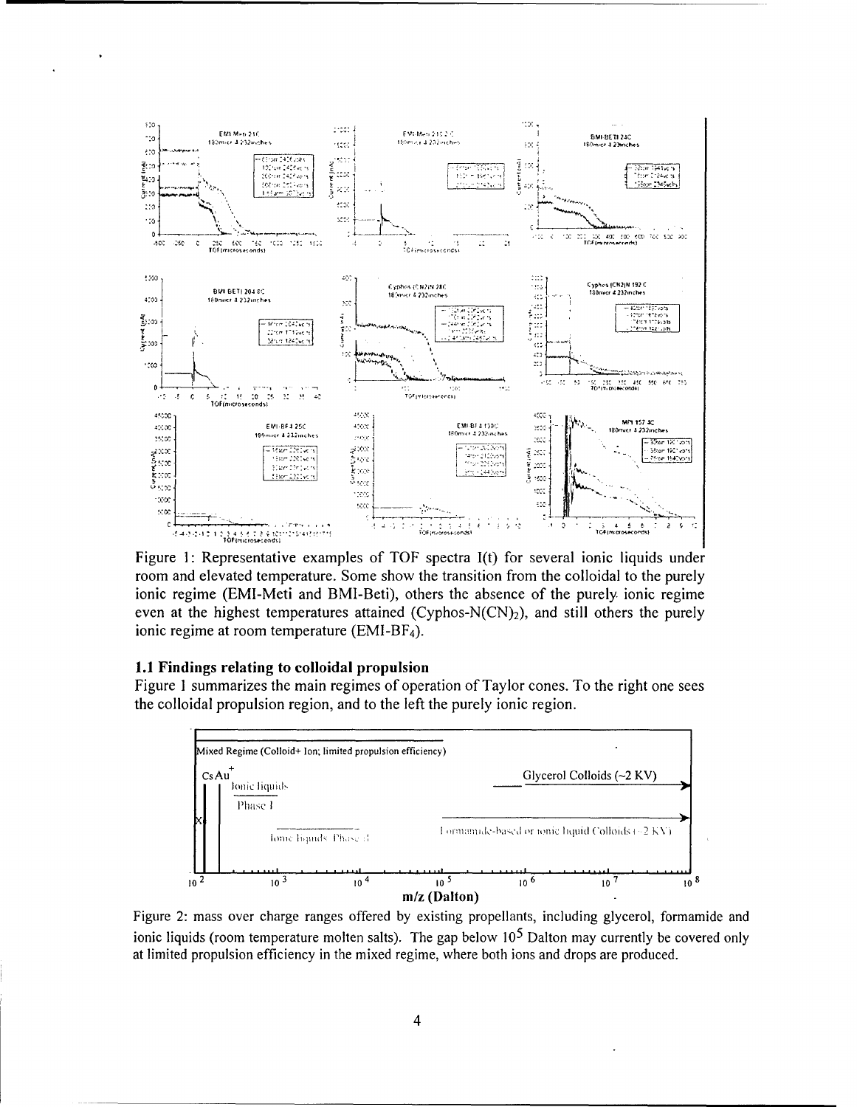

Figure 1: Representative examples of TOF spectra I(t) for several ionic liquids under room and elevated temperature. Some show the transition from the colloidal to the purely ionic regime (EMI-Meti and BMI-Beti), others the absence of the purely ionic regime even at the highest temperatures attained (Cyphos-N(CN)<sub>2</sub>), and still others the purely ionic regime at room temperature (EMI-BF<sub>4</sub>).

## 1.1 Findings relating to colloidal propulsion

Figure 1 summarizes the main regimes of operation of Taylor cones. To the right one sees the colloidal propulsion region, and to the left the purely ionic region.



Figure 2: mass over charge ranges offered by existing propellants, including glycerol, formamide and ionic liquids (room temperature molten salts). The gap below  $10<sup>5</sup>$  Dalton may currently be covered only at limited propulsion efficiency in the mixed regime, where both ions and drops are produced.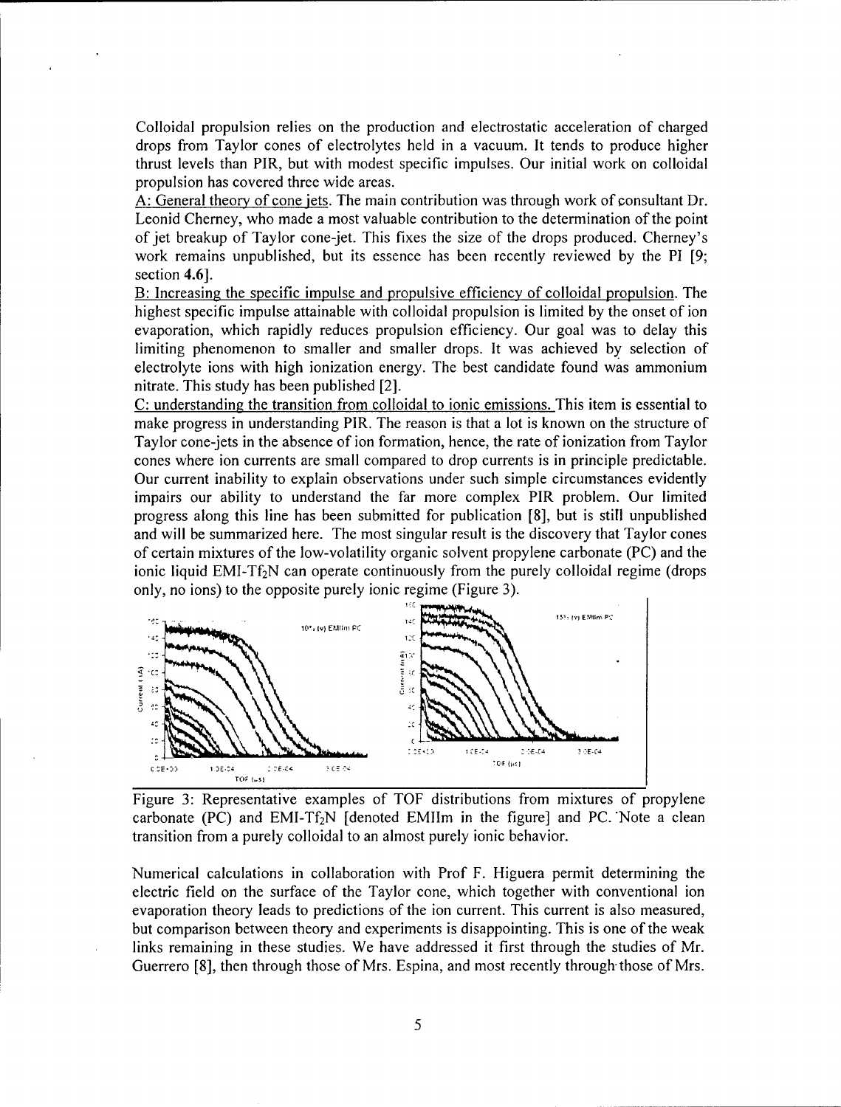Colloidal propulsion relies on the production and electrostatic acceleration of charged drops from Taylor cones of electrolytes held in a vacuum. It tends to produce higher thrust levels than PIR, but with modest specific impulses. Our initial work on colloidal propulsion has covered three wide areas.

A: General theory of cone jets. The main contribution was through work of consultant Dr. Leonid Cherney, who made a most valuable contribution to the determination of the point of jet breakup of Taylor cone-jet. This fixes the size of the drops produced. Cherney's work remains unpublished, but its essence has been recently reviewed by the PI [9; section 4.6].

B: Increasing the specific impulse and propulsive efficiency of colloidal propulsion. The highest specific impulse attainable with colloidal propulsion is limited by the onset of ion evaporation, which rapidly reduces propulsion efficiency. Our goal was to delay this limiting phenomenon to smaller and smaller drops. It was achieved by selection of electrolyte ions with high ionization energy. The best candidate found was ammonium nitrate. This study has been published [2].

C: understanding the transition from colloidal to ionic emissions. This item is essential to make progress in understanding PIR. The reason is that a lot is known on the structure of Taylor cone-jets in the absence of ion formation, hence, the rate of ionization from Taylor cones where ion currents are small compared to drop currents is in principle predictable. Our current inability to explain observations under such simple circumstances evidently impairs our ability to understand the far more complex PIR problem. Our limited progress along this line has been submitted for publication [8], but is still unpublished and will be summarized here. The most singular result is the discovery that Taylor cones of certain mixtures of the low-volatility organic solvent propylene carbonate (PC) and the ionic liquid EMI-T $f_2$ N can operate continuously from the purely colloidal regime (drops only, no ions) to the opposite purely ionic regime (Figure 3).



Figure 3: Representative examples of TOF distributions from mixtures of propylene carbonate (PC) and EMI-Tf<sub>2</sub>N [denoted EMIIm in the figure] and PC. Note a clean transition from a purely colloidal to an almost purely ionic behavior.

Numerical calculations in collaboration with Prof F. Higuera permit determining the electric field on the surface of the Taylor cone, which together with conventional ion evaporation theory leads to predictions of the ion current. This current is also measured, but comparison between theory and experiments is disappointing. This is one of the weak links remaining in these studies. We have addressed it first through the studies of Mr. Guerrero [8], then through those of Mrs. Espina, and most recently through-those of Mrs.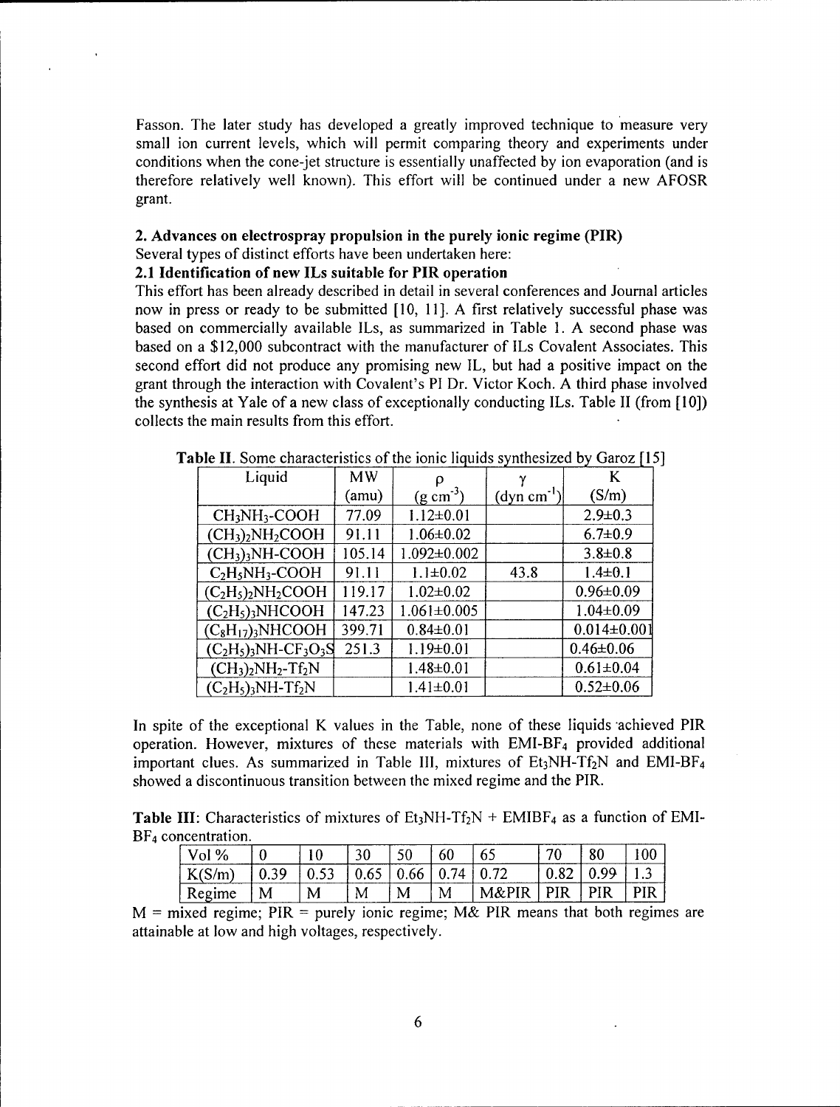Fasson. The later study has developed a greatly improved technique to measure very small ion current levels, which will permit comparing theory and experiments under conditions when the cone-jet structure is essentially unaffected by ion evaporation (and is therefore relatively well known). This effort will be continued under a new AFOSR grant.

# 2. Advances on electrospray propulsion in the purely ionic regime (PIR) Several types of distinct efforts have been undertaken here:

#### 2.1 Identification of new ILs suitable for PIR operation

This effort has been already described in detail in several conferences and Journal articles now in press or ready to be submitted [10, 11]. A first relatively successful phase was based on commercially available ILs, as summarized in Table 1. A second phase was based on a \$12,000 subcontract with the manufacturer of ILs Covalent Associates. This second effort did not produce any promising new IL, but had a positive impact on the grant through the interaction with Covalent's PI Dr. Victor Koch. A third phase involved the synthesis at Yale of a new class of exceptionally conducting ILs. Table II (from [10]) collects the main results from this effort.

| Liquid                            | <b>MW</b> |                       |                             | K                 |
|-----------------------------------|-----------|-----------------------|-----------------------------|-------------------|
|                                   | (amu)     | $(g \text{ cm}^{-3})$ | $\mu$ (dyn cm <sup>-1</sup> | (S/m)             |
| $CH3NH3$ -COOH                    | 77.09     | $1.12 \pm 0.01$       |                             | $2.9 \pm 0.3$     |
| $(CH3)2NH2COOH$                   | 91.11     | $1.06 \pm 0.02$       |                             | $6.7 \pm 0.9$     |
| $(CH3)3NH-COOH$                   | 105.14    | $1.092 \pm 0.002$     |                             | $3.8 \pm 0.8$     |
| $C2H5NH3-COOH$                    | 91.11     | $1.1 \pm 0.02$        | 43.8                        | $1.4 \pm 0.1$     |
| $(C_2H_5)_2NH_2COOH$              | 119.17    | $1.02 \pm 0.02$       |                             | $0.96 \pm 0.09$   |
| $(C2H5)$ <sub>3</sub> NHCOOH      | 147.23    | $1.061 \pm 0.005$     |                             | $1.04 \pm 0.09$   |
| $(C_8H_{17})_3NHCOOH$             | 399.71    | $0.84 \pm 0.01$       |                             | $0.014 \pm 0.001$ |
| $(C_2H_5)_3NH-CF_3O_3S$           | 251.3     | $1.19 \pm 0.01$       |                             | $0.46 \pm 0.06$   |
| $(CH_3)_2NH_2-Tf_2N$              |           | $1.48 \pm 0.01$       |                             | $0.61 \pm 0.04$   |
| $(C_2H_5)_3NH$ -Tf <sub>2</sub> N |           | $1.41 \pm 0.01$       |                             | $0.52 \pm 0.06$   |

Table **II.** Some characteristics of the ionic liquids synthesized by Garoz [15]

In spite of the exceptional K values in the Table, none of these liquids achieved PIR operation. However, mixtures of these materials with  $EMI-BF<sub>4</sub>$  provided additional important clues. As summarized in Table III, mixtures of  $Et_3NH-Tf_2N$  and  $EMI-BF_4$ showed a discontinuous transition between the mixed regime and the PIR.

**Table III:** Characteristics of mixtures of  $Et_3NH-Tf_2N + EMIBF_4$  as a function of EMI-BF<sub>4</sub> concentration.

| Vol $%$ |             |      | 30   | 50 | 60 |       | 70  | 80  |            |
|---------|-------------|------|------|----|----|-------|-----|-----|------------|
| K(S/m)  | -39<br>U.J. | v.JJ | 0.65 |    | 74 | 0.72  |     | oα  |            |
| Regime  | M           | M    | M    | M  | M  | M&PIR | PIR | PIR | <b>PIR</b> |

M **=** mixed regime; PIR **=** purely ionic regime; M& PIR means that both regimes are attainable at low and high voltages, respectively.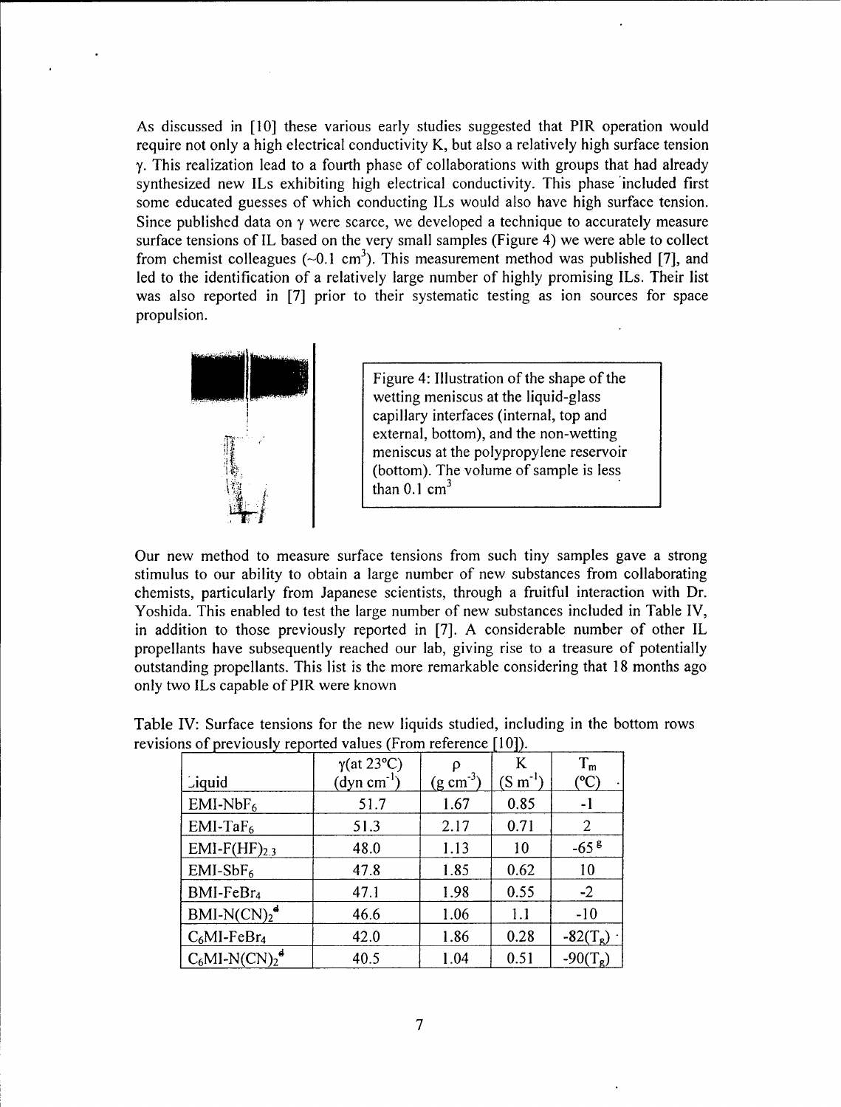As discussed in [10] these various early studies suggested that PIR operation would require not only a high electrical conductivity K, but also a relatively high surface tension **y.** This realization lead to a fourth phase of collaborations with groups that had already synthesized new ILs exhibiting high electrical conductivity. This phase 'included first some educated guesses of which conducting ILs would also have high surface tension. Since published data on  $\gamma$  were scarce, we developed a technique to accurately measure surface tensions of IL based on the very small samples (Figure 4) we were able to collect from chemist colleagues ( $\sim 0.1 \text{ cm}^3$ ). This measurement method was published [7], and led to the identification of a relatively large number of highly promising ILs. Their list was also reported in [7] prior to their systematic testing as ion sources for space propulsion.



Figure 4: Illustration of the shape of the wetting meniscus at the liquid-glass capillary interfaces (internal, top and external, bottom), and the non-wetting meniscus at the polypropylene reservoir (bottom). The volume of sample is less than  $0.1 \text{ cm}^3$ 

Our new method to measure surface tensions from such tiny samples gave a strong stimulus to our ability to obtain a large number of new substances from collaborating chemists, particularly from Japanese scientists, through a fruitful interaction with Dr. Yoshida. This enabled to test the large number of new substances included in Table IV, in addition to those previously reported in [7]. A considerable number of other IL propellants have subsequently reached our lab, giving rise to a treasure of potentially outstanding propellants. This list is the more remarkable considering that 18 months ago only two ILs capable of PIR were known

|                                          | $\gamma$ (at 23°C)     | ρ                     | K                          | $T_{\rm m}$      |
|------------------------------------------|------------------------|-----------------------|----------------------------|------------------|
| Liquid                                   | $\text{(dyn cm}^{-1})$ | $(g \text{ cm}^{-3})$ | $(\text{S m}^{\text{-}1})$ | °C               |
| $EMI-NbF6$                               | 51.7                   | 1.67                  | 0.85                       | -1               |
| $EMI-TaF6$                               | 51.3                   | 2.17                  | 0.71                       | 2                |
| $EMI-F(HF)2.3$                           | 48.0                   | 1.13                  | 10                         | $-658$           |
| $EMI-SbF6$                               | 47.8                   | 1.85                  | 0.62                       | 10               |
| BMI-FeBr <sub>4</sub>                    | 47.1                   | 1.98                  | 0.55                       | $-2$             |
| $BMI-N(CN)2d$                            | 46.6                   | 1.06                  | 1.1                        | $-10$            |
| $C_6$ MI-FeBr <sub>4</sub>               | 42.0                   | 1.86                  | 0.28                       | $-82(T_{\rm g})$ |
| $C_6$ MI-N(CN) <sub>2</sub> <sup>d</sup> | 40.5                   | 1.04                  | 0.51                       |                  |

Table IV: Surface tensions for the new liquids studied, including in the bottom rows revisions of previously reported values (From reference [10]).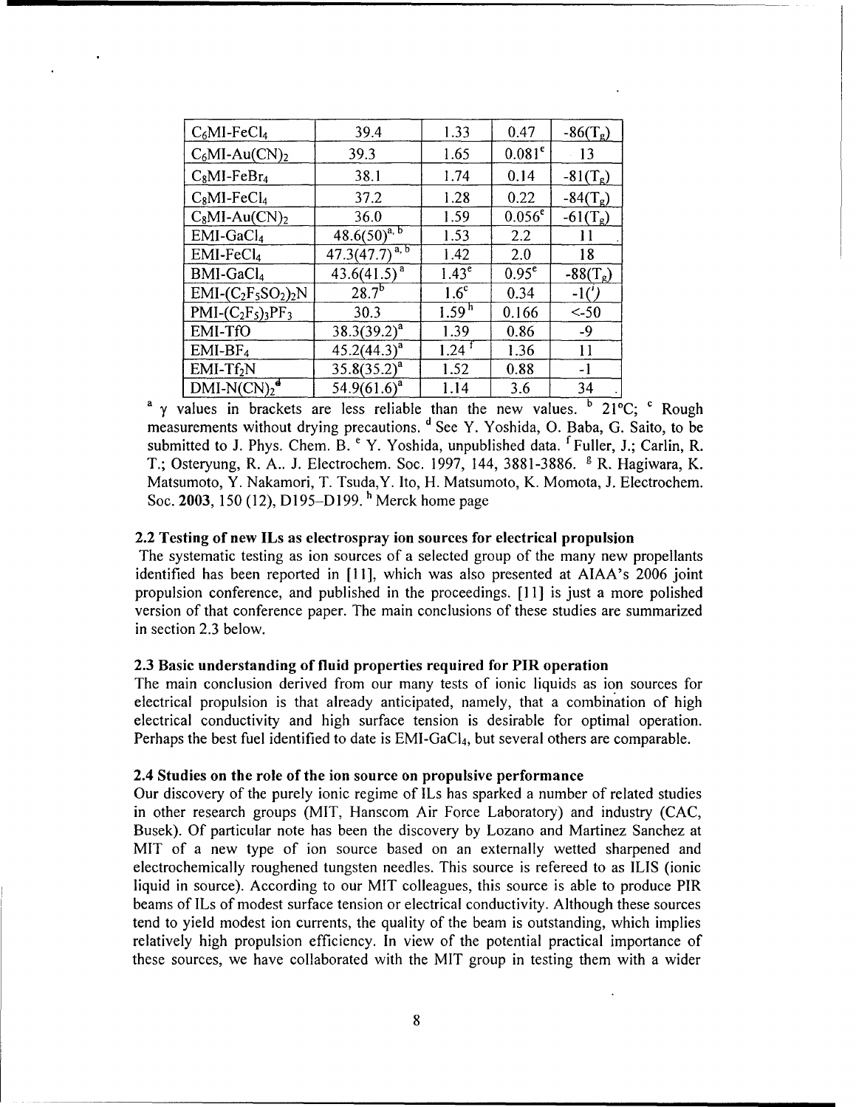| $C_6$ MI-Fe $Cl_4$        | 39.4                                     | 1.33                | 0.47      | $-86(T_g)$ |
|---------------------------|------------------------------------------|---------------------|-----------|------------|
| $C_6$ MI-Au $(CN)_2$      | 39.3                                     | 1.65                | $0.081^e$ | 13         |
| $C_8$ MI-Fe $Br_4$        | 38.1                                     | 1.74                | 0.14      | $-81(T_g)$ |
| $C_8$ MI-Fe $Cl_4$        | 37.2                                     | 1.28                | 0.22      | $-84(T_g)$ |
| $C_8$ MI-Au $(CN)_2$      | 36.0                                     | 1.59                | $0.056^e$ | $-61(T_g)$ |
| $EMI-GaCl4$               | $48.6(50)^{\overline{a},\overline{b}}$   | 1.53                | 2.2       | 11         |
| $EMI-FeCl4$               | $47.3(47.7)^{\overline{a},\overline{b}}$ | 1.42                | 2.0       | 18         |
| BMI-GaCl <sub>4</sub>     | $43.6(41.5)^{a}$                         | 1.43 <sup>e</sup>   | $0.95^e$  | $-88(T_g)$ |
| $EMI$ - $(C_2F_5SO_2)_2N$ | $28.7^{5}$                               | 1.6 <sup>c</sup>    | 0.34      | -16        |
| $PMI - (C_2F_5)_{3}PF_3$  | 30.3                                     | 1.59 <sup>h</sup>   | 0.166     | $<$ -50    |
| EMI-TfO                   | $38.3(39.2)^a$                           | 1.39                | 0.86      | $-9$       |
| $EMI-BF4$                 | $45.2(44.3)^a$                           | $1.24$ <sup>t</sup> | 1.36      | 11         |
| $EMI-Tf2N$                | $35.8(35.2)^a$                           | 1.52                | 0.88      | $-1$       |
| $DMI-N(CN)2d$             | $54.9(61.6)^a$                           | 1.14                | 3.6       | 34         |

<sup>a</sup>  $\gamma$  values in brackets are less reliable than the new values. <sup>b</sup> 21°C; <sup>c</sup> Rough measurements without drying precautions. d See Y. Yoshida, **0.** Baba, G. Saito, to be submitted to J. Phys. Chem. B. <sup>e</sup> Y. Yoshida, unpublished data. <sup>f</sup> Fuller, J.; Carlin, R. T.; Osteryung, R. A.. J. Electrochem. Soc. 1997, 144, 3881-3886. <sup>g</sup> R. Hagiwara, K. Matsumoto, Y. Nakamori, T. Tsuda,Y. Ito, H. Matsumoto, K. Momota, J. Electrochem. Soc. 2003, **150** (12), D195-D199. h Merck home page

#### 2.2 Testing of new ILs as electrospray ion sources for electrical propulsion

The systematic testing as ion sources of a selected group of the many new propellants identified has been reported in [11], which was also presented at AIAA's 2006 joint propulsion conference, and published in the proceedings. [11] is just a more polished version of that conference paper. The main conclusions of these studies are summarized in section 2.3 below.

# 2.3 Basic understanding of fluid properties required for PIR operation

The main conclusion derived from our many tests of ionic liquids as ion sources for electrical propulsion is that already anticipated, namely, that a combination of high electrical conductivity and high surface tension is desirable for optimal operation. Perhaps the best fuel identified to date is  $EMI-GaCl<sub>4</sub>$ , but several others are comparable.

#### 2.4 Studies on the role of the ion source on propulsive performance

Our discovery of the purely ionic regime of ILs has sparked a number of related studies in other research groups (MIT, Hanscom Air Force Laboratory) and industry (CAC, Busek). Of particular note has been the discovery by Lozano and Martinez Sanchez at MIT of a new type of ion source based on an externally wetted sharpened and electrochemically roughened tungsten needles. This source is refereed to as ILIS (ionic liquid in source). According to our MIT colleagues, this source is able to produce PIR beams of ILs of modest surface tension or electrical conductivity. Although these sources tend to yield modest ion currents, the quality of the beam is outstanding, which implies relatively high propulsion efficiency. In view of the potential practical importance of these sources, we have collaborated with the MIT group in testing them with a wider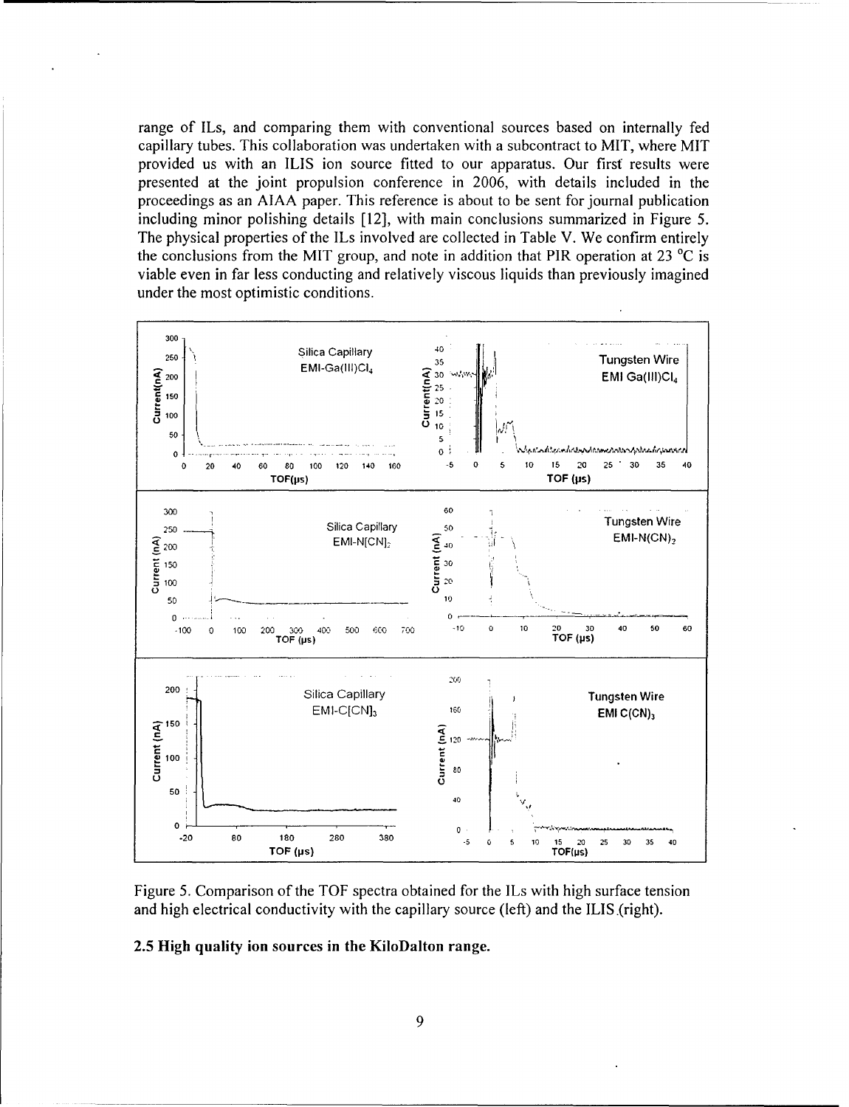range of ILs, and comparing them with conventional sources based on internally fed capillary tubes. This collaboration was undertaken with a subcontract to MIT, where MIT provided us with an ILIS ion source fitted to our apparatus. Our first results were presented at the joint propulsion conference in 2006, with details included in the proceedings as an AIAA paper. This reference is about to be sent for journal publication including minor polishing details [12], with main conclusions summarized in Figure 5. The physical properties of the ILs involved are collected in Table V. We confirm entirely the conclusions from the MIT group, and note in addition that PIR operation at 23  $^{\circ}$ C is viable even in far less conducting and relatively viscous liquids than previously imagined under the most optimistic conditions.



Figure 5. Comparison of the TOF spectra obtained for the ILs with high surface tension and high electrical conductivity with the capillary source (left) and the ILIS (right).

# 2.5 High quality ion sources in the KiloDalton range.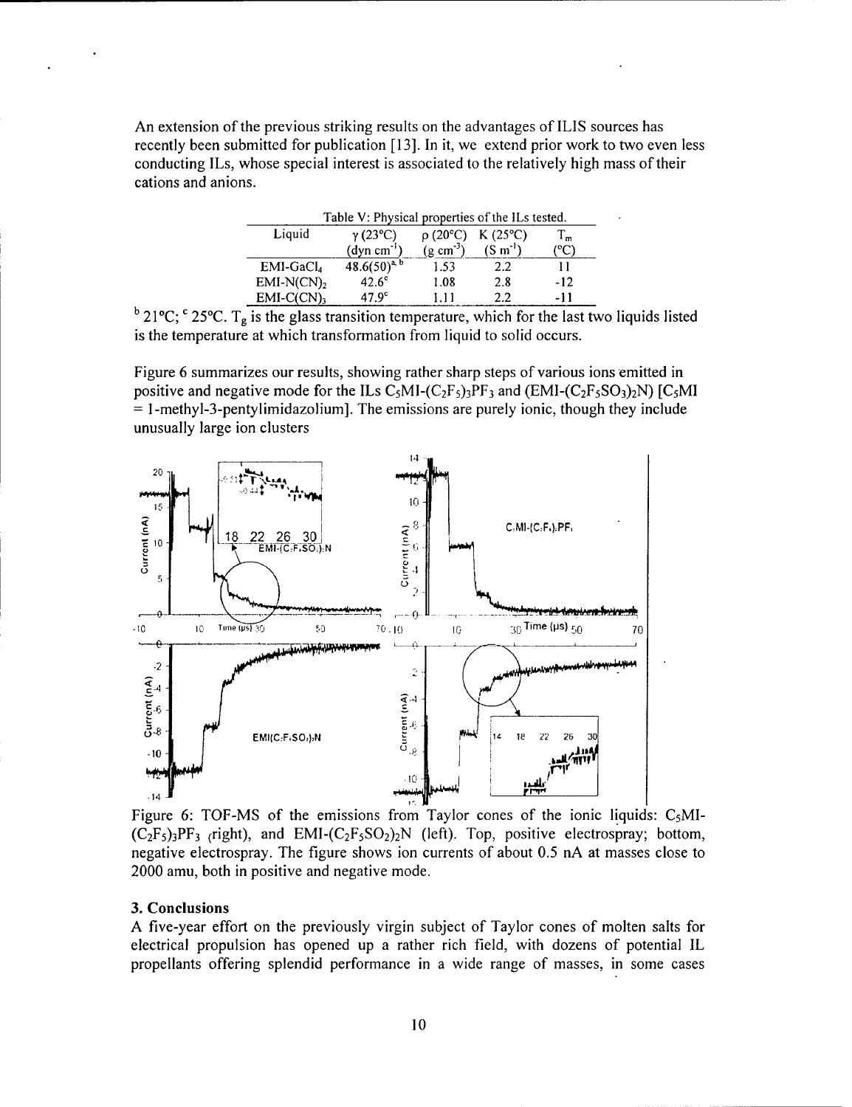An extension of the previous striking results on the advantages of ILlS sources has recently been submitted for publication [13]. In it, we extend prior work to two even less conducting ILs, whose special interest is associated to the relatively high mass of their cations and anions.

| Table V: Physical properties of the ILs tested. |                               |                          |                  |     |  |  |  |
|-------------------------------------------------|-------------------------------|--------------------------|------------------|-----|--|--|--|
| Liquid                                          | $\gamma$ (23°C)               | $\rho$ (20 $^{\circ}$ C) | $K(25^{\circ}C)$ | 1 ա |  |  |  |
|                                                 | $\text{(dyn cm}^{\text{-}1})$ | $(g \text{ cm}^3)$       | $(S m-1)$        |     |  |  |  |
| $EMI-GaCl4$                                     | $48.6(50)^{a, b}$             | 1.53                     | 2.2              |     |  |  |  |
| $EMI-N(CN)2$                                    | $42.6^\circ$                  | 1.08                     | 2.8              | -12 |  |  |  |
| $EMI-C(CN)$                                     | 47 9 <sup>c</sup>             |                          | つつ               | -11 |  |  |  |

 $b$  21°C; <sup>c</sup> 25°C. T<sub>g</sub> is the glass transition temperature, which for the last two liquids listed is the temperature at which transformation from liquid to solid occurs.

Figure 6 summarizes our results, showing rather sharp steps of various ions emitted in positive and negative mode for the ILs  $C_5MI-(C_2F_5)3PF_3$  and  $(EMI-(C_2F_5SO_3)2N)$  [C<sub>5</sub>MI **=** 1-methyl-3-pentylimidazolium]. The emissions are purely ionic, though they include unusually large ion clusters



Figure 6: TOF-MS of the emissions from Taylor cones of the ionic liquids:  $C_5MI$ - $(C_2F_5)$ <sub>3</sub>PF<sub>3</sub> (right), and EMI- $(C_2F_5SO_2)_2N$  (left). Top, positive electrospray; bottom, negative electrospray. The figure shows ion currents of about 0.5 nA at masses close to 2000 amu, both in positive and negative mode.

## 3. Conclusions

A five-year effort on the previously virgin subject of Taylor cones of molten salts for electrical propulsion has opened up a rather rich field, with dozens of potential IL propellants offering splendid performance in a wide range of masses, in some cases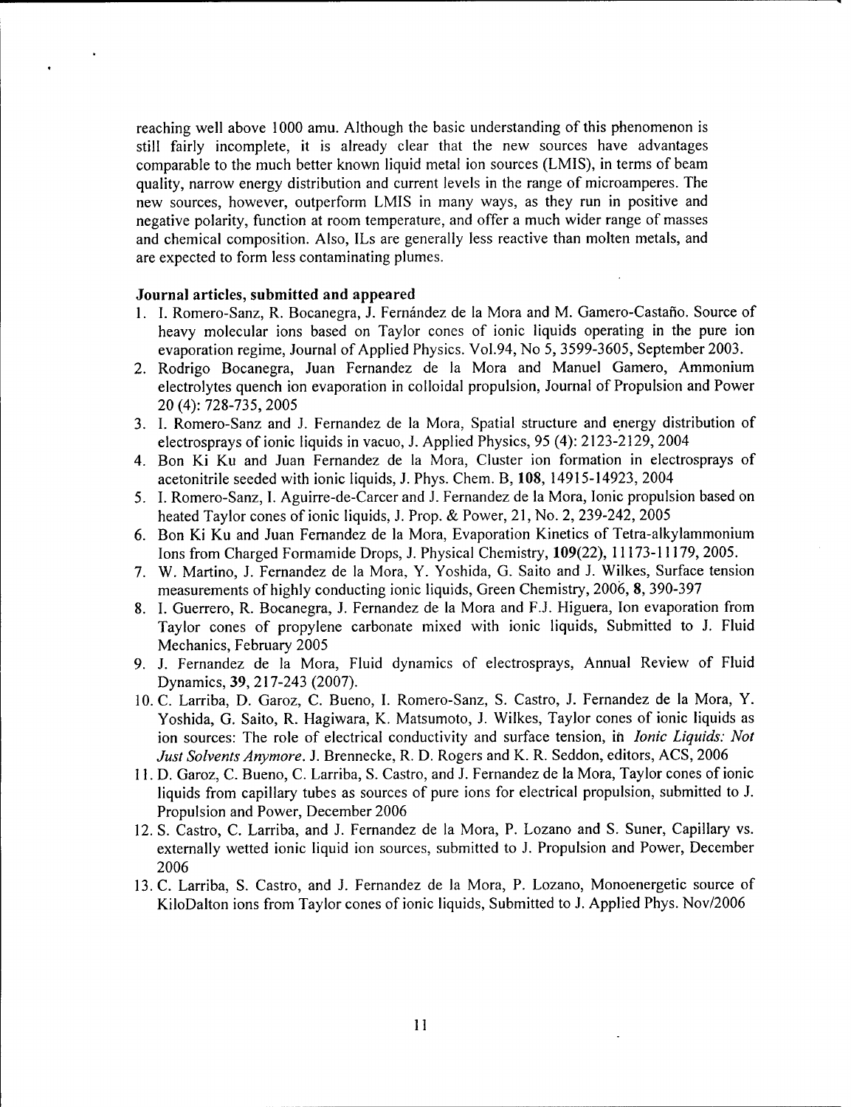reaching well above 1000 amu. Although the basic understanding of this phenomenon is still fairly incomplete, it is already clear that the new sources have advantages comparable to the much better known liquid metal ion sources (LMIS), in terms of beam quality, narrow energy distribution and current levels in the range of microamperes. The new sources, however, outperform LMIS in many ways, as they run in positive and negative polarity, function at room temperature, and offer a much wider range of masses and chemical composition. Also, ILs are generally less reactive than molten metals, and are expected to form less contaminating plumes.

## Journal articles, submitted and appeared

- 1. I. Romero-Sanz, R. Bocanegra, J. Fernfndez de la Mora and M. Gamero-Castafio. Source of heavy molecular ions based on Taylor cones of ionic liquids operating in the pure ion evaporation regime, Journal of Applied Physics. Vol.94, No 5, 3599-3605, September 2003.
- 2. Rodrigo Bocanegra, Juan Fernandez de la Mora and Manuel Gamero, Ammonium electrolytes quench ion evaporation in colloidal propulsion, Journal of Propulsion and Power 20 (4): 728-735, 2005
- 3. **1.** Romero-Sanz and J. Fernandez de la Mora, Spatial structure and energy distribution of electrosprays of ionic liquids in vacuo, J. Applied Physics, 95 (4): 2123-2129, 2004
- 4. Bon Ki Ku and Juan Fernandez de la Mora, Cluster ion formation in electrosprays of acetonitrile seeded with ionic liquids, J. Phys. Chem. B, **108,** 14915-14923, 2004
- *5.* **1.** Romero-Sanz, **1.** Aguirre-de-Carcer and J. Fernandez de la Mora, Ionic propulsion based on heated Taylor cones of ionic liquids, J. Prop. & Power, 21, No. 2, 239-242, 2005
- 6. Bon Ki Ku and Juan Fernandez de la Mora, Evaporation Kinetics of Tetra-alkylammonium Ions from Charged Formamide Drops, J. Physical Chemistry, 109(22), 11173-11179, 2005.
- 7. W. Martino, J. Fernandez de la Mora, Y. Yoshida, G. Saito and J. Wilkes, Surface tension measurements of highly conducting ionic liquids, Green Chemistry, 2006, 8, 390-397
- 8. **1.** Guerrero, R. Bocanegra, J. Fernandez de la Mora and F.J. Higuera, Ion evaporation from Taylor cones of propylene carbonate mixed with ionic liquids, Submitted to J. Fluid Mechanics, February 2005
- 9. J. Fernandez de la Mora, Fluid dynamics of electrosprays, Annual Review of Fluid Dynamics, 39, 217-243 (2007).
- 10. C. Larriba, D. Garoz, C. Bueno, I. Romero-Sanz, S. Castro, J. Fernandez de la Mora, Y. Yoshida, G. Saito, R. Hagiwara, K. Matsumoto, J. Wilkes, Taylor cones of ionic liquids as ion sources: The role of electrical conductivity and surface tension, in *Ionic Liquids: Not Just Solvents Anymore.* J. Brennecke, R. D. Rogers and K. R. Seddon, editors, ACS, 2006
- 11. D. Garoz, C. Bueno, C. Larriba, S. Castro, and J. Fernandez de la Mora, Taylor cones of ionic liquids from capillary tubes as sources of pure ions for electrical propulsion, submitted to J. Propulsion and Power, December 2006
- 12. **S.** Castro, C. Larriba, and J. Fernandez de la Mora, P. Lozano and S. Suner, Capillary vs. externally wetted ionic liquid ion sources, submitted to J. Propulsion and Power, December 2006
- 13. C. Larriba, S. Castro, and J. Fernandez de la Mora, P. Lozano, Monoenergetic source of KiloDalton ions from Taylor cones of ionic liquids, Submitted to J. Applied Phys. Nov/2006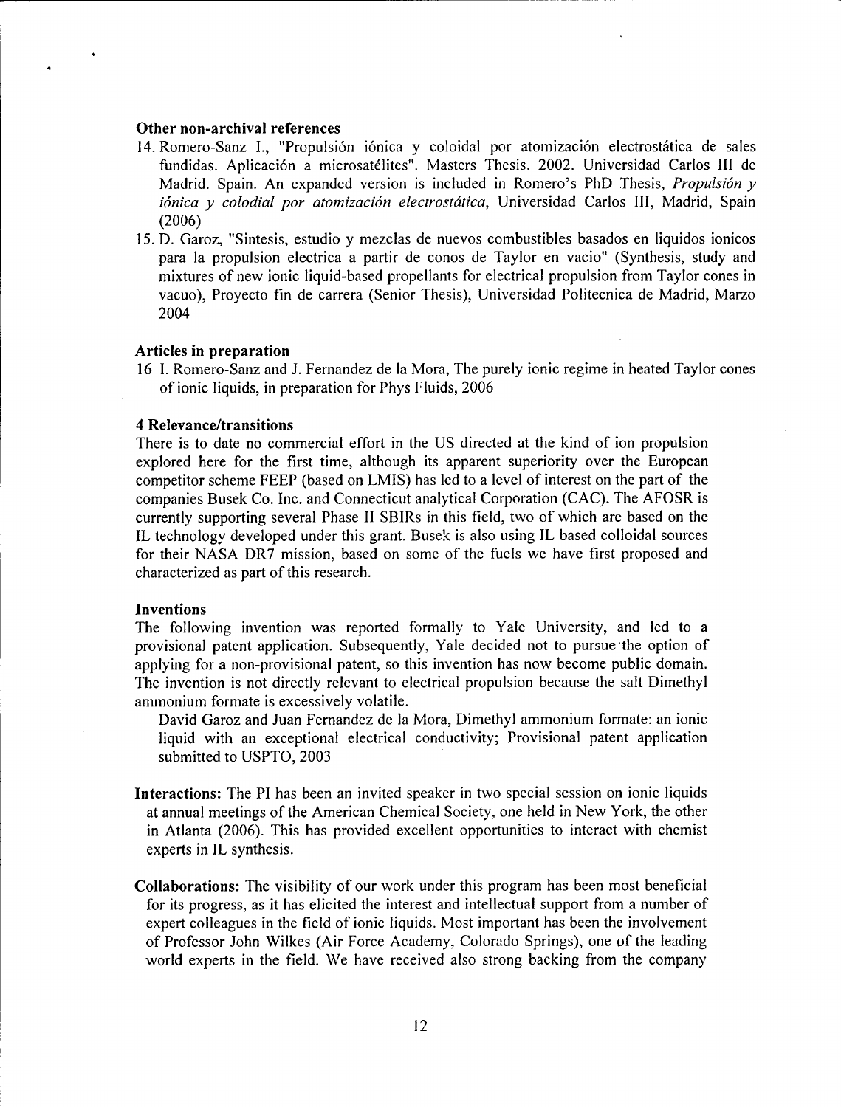#### Other non-archival references

- 14. Romero-Sanz I., "Propulsión iónica y coloidal por atomización electrostática de sales fundidas. Aplicación a microsatélites". Masters Thesis. 2002. Universidad Carlos III de Madrid. Spain. An expanded version is included in Romero's PhD Thesis, *Propulsidn y i6nica y colodial por atomizacidn electrostdtica,* Universidad Carlos III, Madrid, Spain **(2006)**
- 15. D. Garoz, "Sintesis, estudio y mezclas de nuevos combustibles basados en liquidos ionicos para la propulsion electrica a partir de conos de Taylor en vacio" (Synthesis, study and mixtures of new ionic liquid-based propellants for electrical propulsion from Taylor cones in vacuo), Proyecto fin de carrera (Senior Thesis), Universidad Politecnica de Madrid, Marzo 2004

#### Articles in preparation

16 **1.** Romero-Sanz and J. Fernandez de la Mora, The purely ionic regime in heated Taylor cones of ionic liquids, in preparation for Phys Fluids, 2006

#### 4 Relevance/transitions

There is to date no commercial effort in the US directed at the kind of ion propulsion explored here for the first time, although its apparent superiority over the European competitor scheme FEEP (based on LMIS) has led to a level of interest on the part of the companies Busek Co. Inc. and Connecticut analytical Corporation (CAC). The AFOSR is currently supporting several Phase II SBIRs in this field, two of which are based on the IL technology developed under this grant. Busek is also using IL based colloidal sources for their NASA DR7 mission, based on some of the fuels we have first proposed and characterized as part of this research.

# Inventions

The following invention was reported formally to Yale University, and led to a provisional patent application. Subsequently, Yale decided not to pursue the option of applying for a non-provisional patent, so this invention has now become public domain. The invention is not directly relevant to electrical propulsion because the salt Dimethyl ammonium formate is excessively volatile.

David Garoz and Juan Fernandez de ia Mora, Dimethyl ammonium formate: an ionic liquid with an exceptional electrical conductivity; Provisional patent application submitted to USPTO, 2003

- Interactions: The PI has been an invited speaker in two special session on ionic liquids at annual meetings of the American Chemical Society, one held in New York, the other in Atlanta (2006). This has provided excellent opportunities to interact with chemist experts in IL synthesis.
- Collaborations: The visibility of our work under this program has been most beneficial for its progress, as it has elicited the interest and intellectual support from a number of expert colleagues in the field of ionic liquids. Most important has been the involvement of Professor John Wilkes (Air Force Academy, Colorado Springs), one of the leading world experts in the field. We have received also strong backing from the company